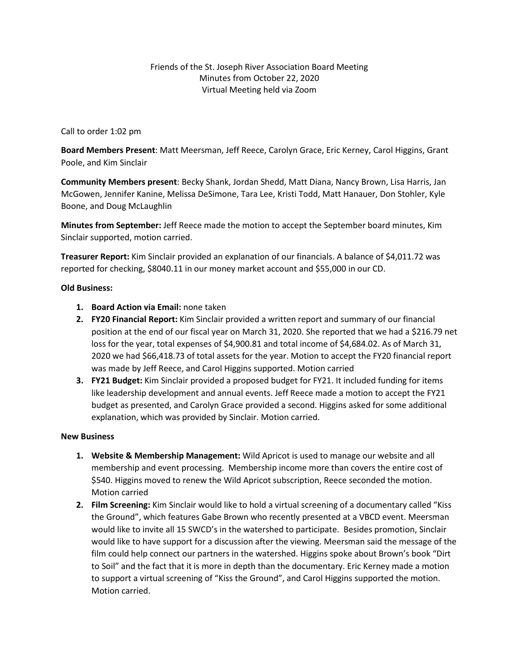Call to order 1:02 pm

**Board Members Present**: Matt Meersman, Jeff Reece, Carolyn Grace, Eric Kerney, Carol Higgins, Grant Poole, and Kim Sinclair

**Community Members present**: Becky Shank, Jordan Shedd, Matt Diana, Nancy Brown, Lisa Harris, Jan McGowen, Jennifer Kanine, Melissa DeSimone, Tara Lee, Kristi Todd, Matt Hanauer, Don Stohler, Kyle Boone, and Doug McLaughlin

**Minutes from September:** Jeff Reece made the motion to accept the September board minutes, Kim Sinclair supported, motion carried.

**Treasurer Report:** Kim Sinclair provided an explanation of our financials. A balance of \$4,011.72 was reported for checking, \$8040.11 in our money market account and \$55,000 in our CD.

## **Old Business:**

- **1. Board Action via Email:** none taken
- **2. FY20 Financial Report:** Kim Sinclair provided a written report and summary of our financial position at the end of our fiscal year on March 31, 2020. She reported that we had a \$216.79 net loss for the year, total expenses of \$4,900.81 and total income of \$4,684.02. As of March 31, 2020 we had \$66,418.73 of total assets for the year. Motion to accept the FY20 financial report was made by Jeff Reece, and Carol Higgins supported. Motion carried
- **3. FY21 Budget:** Kim Sinclair provided a proposed budget for FY21. It included funding for items like leadership development and annual events. Jeff Reece made a motion to accept the FY21 budget as presented, and Carolyn Grace provided a second. Higgins asked for some additional explanation, which was provided by Sinclair. Motion carried.

## **New Business**

- **1. Website & Membership Management:** Wild Apricot is used to manage our website and all membership and event processing. Membership income more than covers the entire cost of \$540. Higgins moved to renew the Wild Apricot subscription, Reece seconded the motion. Motion carried
- **2. Film Screening:** Kim Sinclair would like to hold a virtual screening of a documentary called "Kiss the Ground", which features Gabe Brown who recently presented at a VBCD event. Meersman would like to invite all 15 SWCD's in the watershed to participate. Besides promotion, Sinclair would like to have support for a discussion after the viewing. Meersman said the message of the film could help connect our partners in the watershed. Higgins spoke about Brown's book "Dirt to Soil" and the fact that it is more in depth than the documentary. Eric Kerney made a motion to support a virtual screening of "Kiss the Ground", and Carol Higgins supported the motion. Motion carried.